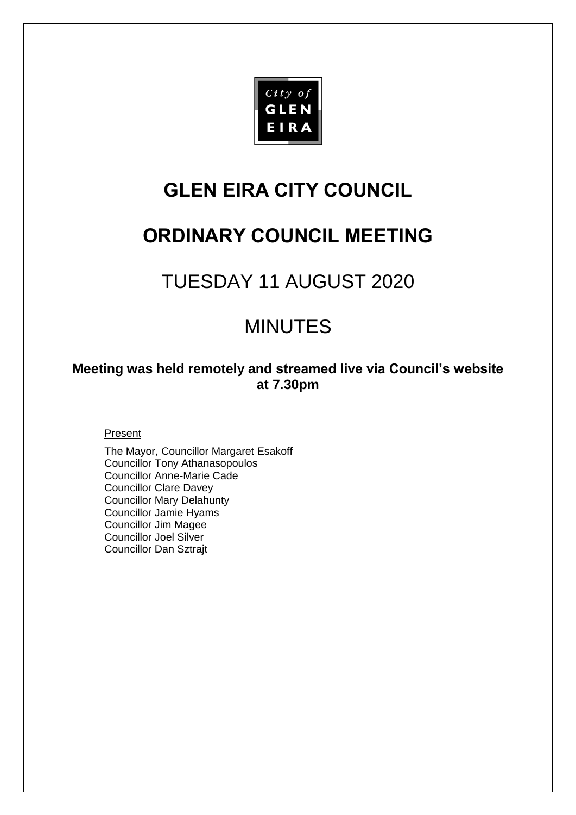

# **GLEN EIRA CITY COUNCIL**

# **ORDINARY COUNCIL MEETING**

# TUESDAY 11 AUGUST 2020

# MINUTES

# **Meeting was held remotely and streamed live via Council's website at 7.30pm**

Present

The Mayor, Councillor Margaret Esakoff Councillor Tony Athanasopoulos Councillor Anne-Marie Cade Councillor Clare Davey Councillor Mary Delahunty Councillor Jamie Hyams Councillor Jim Magee Councillor Joel Silver Councillor Dan Sztrajt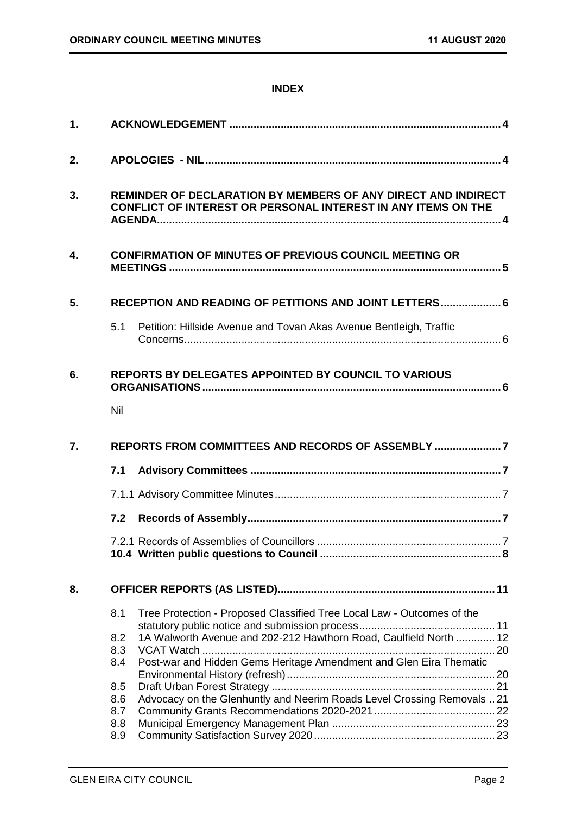### **INDEX**

| 2. |                                                                                                                                       |                                                                        |  |  |
|----|---------------------------------------------------------------------------------------------------------------------------------------|------------------------------------------------------------------------|--|--|
| 3. | REMINDER OF DECLARATION BY MEMBERS OF ANY DIRECT AND INDIRECT<br><b>CONFLICT OF INTEREST OR PERSONAL INTEREST IN ANY ITEMS ON THE</b> |                                                                        |  |  |
| 4. |                                                                                                                                       | <b>CONFIRMATION OF MINUTES OF PREVIOUS COUNCIL MEETING OR</b>          |  |  |
| 5. |                                                                                                                                       | RECEPTION AND READING OF PETITIONS AND JOINT LETTERS 6                 |  |  |
|    | 5.1                                                                                                                                   | Petition: Hillside Avenue and Tovan Akas Avenue Bentleigh, Traffic     |  |  |
| 6. |                                                                                                                                       | <b>REPORTS BY DELEGATES APPOINTED BY COUNCIL TO VARIOUS</b>            |  |  |
|    | Nil                                                                                                                                   |                                                                        |  |  |
|    |                                                                                                                                       |                                                                        |  |  |
| 7. |                                                                                                                                       | REPORTS FROM COMMITTEES AND RECORDS OF ASSEMBLY                        |  |  |
|    | 7.1                                                                                                                                   |                                                                        |  |  |
|    |                                                                                                                                       |                                                                        |  |  |
|    | 7.2                                                                                                                                   |                                                                        |  |  |
|    |                                                                                                                                       |                                                                        |  |  |
| 8. |                                                                                                                                       |                                                                        |  |  |
|    | 8.1                                                                                                                                   | Tree Protection - Proposed Classified Tree Local Law - Outcomes of the |  |  |
|    | 8.2<br>8.3                                                                                                                            | 1A Walworth Avenue and 202-212 Hawthorn Road, Caulfield North  12      |  |  |
|    | 8.4                                                                                                                                   | Post-war and Hidden Gems Heritage Amendment and Glen Eira Thematic     |  |  |
|    | 8.5<br>8.6<br>8.7                                                                                                                     | Advocacy on the Glenhuntly and Neerim Roads Level Crossing Removals 21 |  |  |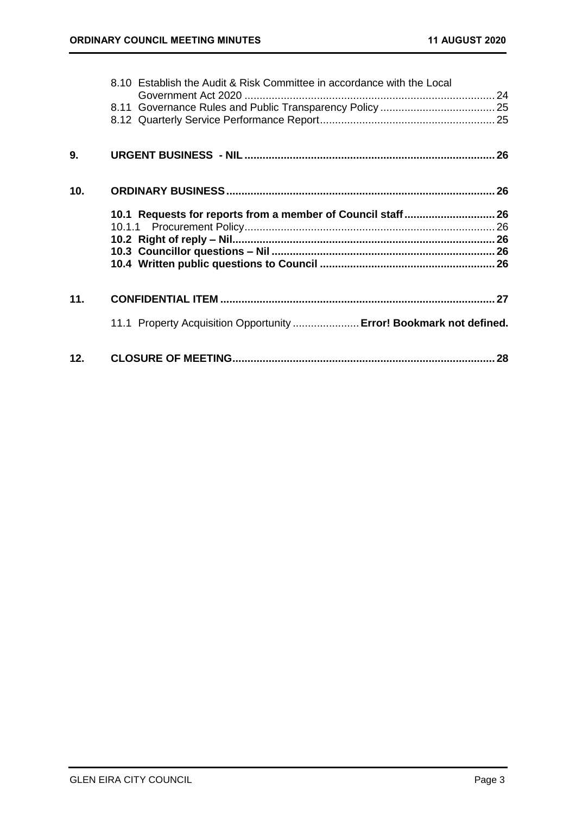|     | 8.10 Establish the Audit & Risk Committee in accordance with the Local |  |
|-----|------------------------------------------------------------------------|--|
|     |                                                                        |  |
|     |                                                                        |  |
| 9.  |                                                                        |  |
|     |                                                                        |  |
| 10. |                                                                        |  |
|     |                                                                        |  |
|     | 10.1 Requests for reports from a member of Council staff 26            |  |
|     |                                                                        |  |
|     |                                                                        |  |
|     |                                                                        |  |
| 11. |                                                                        |  |
|     | 11.1 Property Acquisition Opportunity  Error! Bookmark not defined.    |  |
| 12. |                                                                        |  |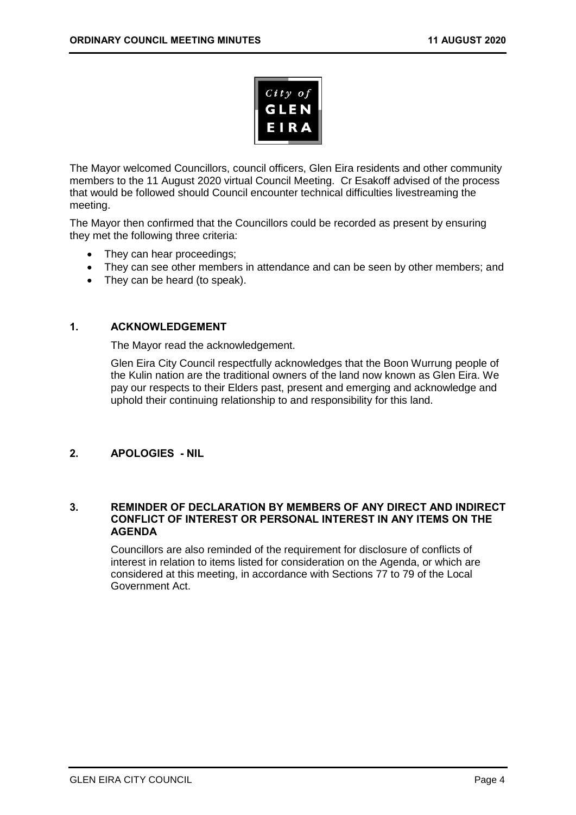

The Mayor welcomed Councillors, council officers, Glen Eira residents and other community members to the 11 August 2020 virtual Council Meeting. Cr Esakoff advised of the process that would be followed should Council encounter technical difficulties livestreaming the meeting.

The Mayor then confirmed that the Councillors could be recorded as present by ensuring they met the following three criteria:

- They can hear proceedings;
- They can see other members in attendance and can be seen by other members; and
- <span id="page-3-0"></span>• They can be heard (to speak).

### **1. ACKNOWLEDGEMENT**

The Mayor read the acknowledgement.

Glen Eira City Council respectfully acknowledges that the Boon Wurrung people of the Kulin nation are the traditional owners of the land now known as Glen Eira. We pay our respects to their Elders past, present and emerging and acknowledge and uphold their continuing relationship to and responsibility for this land.

### <span id="page-3-1"></span>**2. APOLOGIES - NIL**

#### <span id="page-3-2"></span>**3. REMINDER OF DECLARATION BY MEMBERS OF ANY DIRECT AND INDIRECT CONFLICT OF INTEREST OR PERSONAL INTEREST IN ANY ITEMS ON THE AGENDA**

Councillors are also reminded of the requirement for disclosure of conflicts of interest in relation to items listed for consideration on the Agenda, or which are considered at this meeting, in accordance with Sections 77 to 79 of the Local Government Act.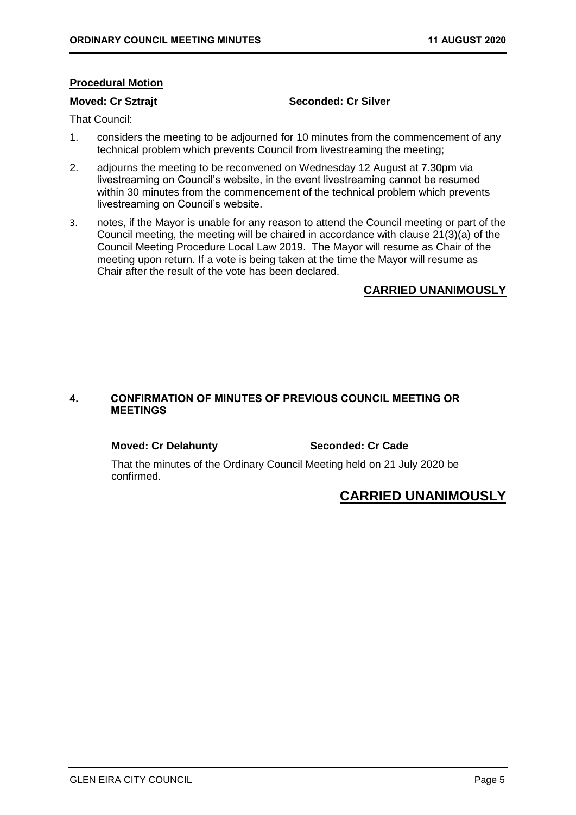#### **Procedural Motion**

#### **Moved: Cr Sztrajt Seconded: Cr Silver**

That Council:

- 1. considers the meeting to be adjourned for 10 minutes from the commencement of any technical problem which prevents Council from livestreaming the meeting;
- 2. adjourns the meeting to be reconvened on Wednesday 12 August at 7.30pm via livestreaming on Council's website, in the event livestreaming cannot be resumed within 30 minutes from the commencement of the technical problem which prevents livestreaming on Council's website.
- 3. notes, if the Mayor is unable for any reason to attend the Council meeting or part of the Council meeting, the meeting will be chaired in accordance with clause 21(3)(a) of the Council Meeting Procedure Local Law 2019. The Mayor will resume as Chair of the meeting upon return. If a vote is being taken at the time the Mayor will resume as Chair after the result of the vote has been declared.

### **CARRIED UNANIMOUSLY**

### <span id="page-4-0"></span>**4. CONFIRMATION OF MINUTES OF PREVIOUS COUNCIL MEETING OR MEETINGS**

#### **Moved: Cr Delahunty Seconded: Cr Cade**

That the minutes of the Ordinary Council Meeting held on 21 July 2020 be confirmed.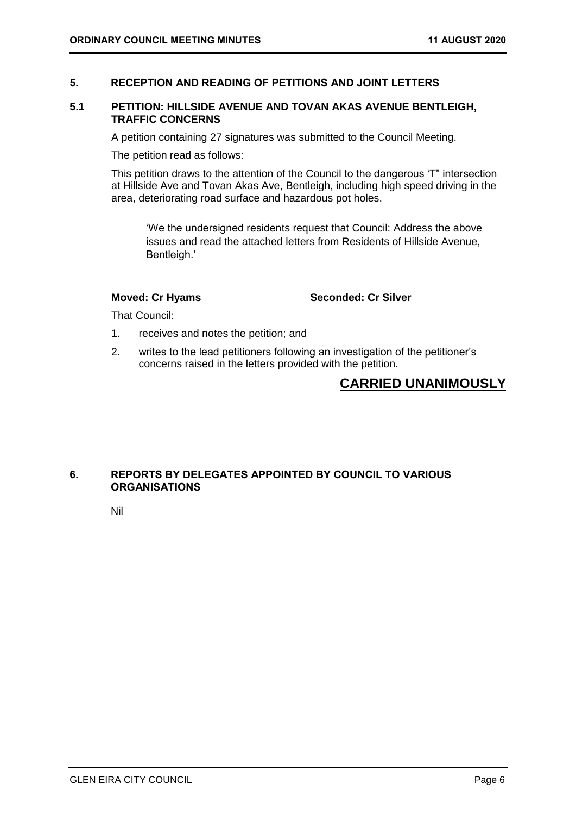### <span id="page-5-1"></span><span id="page-5-0"></span>**5. RECEPTION AND READING OF PETITIONS AND JOINT LETTERS**

#### **5.1 PETITION: HILLSIDE AVENUE AND TOVAN AKAS AVENUE BENTLEIGH, TRAFFIC CONCERNS**

A petition containing 27 signatures was submitted to the Council Meeting.

The petition read as follows:

This petition draws to the attention of the Council to the dangerous 'T" intersection at Hillside Ave and Tovan Akas Ave, Bentleigh, including high speed driving in the area, deteriorating road surface and hazardous pot holes.

'We the undersigned residents request that Council: Address the above issues and read the attached letters from Residents of Hillside Avenue, Bentleigh.'

**Moved: Cr Hyams Seconded: Cr Silver**

That Council:

- 1. receives and notes the petition; and
- 2. writes to the lead petitioners following an investigation of the petitioner's concerns raised in the letters provided with the petition.

# **CARRIED UNANIMOUSLY**

#### <span id="page-5-3"></span><span id="page-5-2"></span>**6. REPORTS BY DELEGATES APPOINTED BY COUNCIL TO VARIOUS ORGANISATIONS**

Nil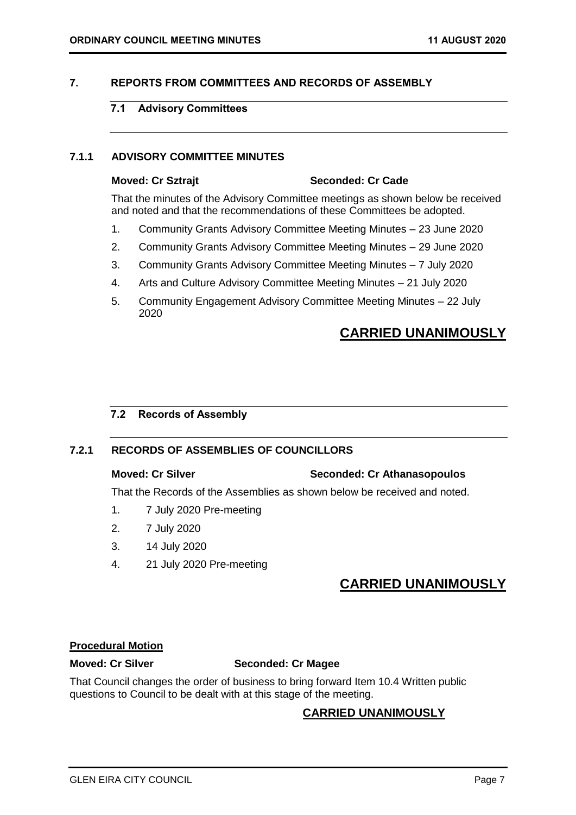### <span id="page-6-2"></span><span id="page-6-1"></span><span id="page-6-0"></span>**7. REPORTS FROM COMMITTEES AND RECORDS OF ASSEMBLY**

### **7.1 Advisory Committees**

#### **7.1.1 ADVISORY COMMITTEE MINUTES**

#### **Moved: Cr Sztrajt Seconded: Cr Cade**

That the minutes of the Advisory Committee meetings as shown below be received and noted and that the recommendations of these Committees be adopted.

- 1. Community Grants Advisory Committee Meeting Minutes 23 June 2020
- 2. Community Grants Advisory Committee Meeting Minutes 29 June 2020
- 3. Community Grants Advisory Committee Meeting Minutes 7 July 2020
- 4. Arts and Culture Advisory Committee Meeting Minutes 21 July 2020
- 5. Community Engagement Advisory Committee Meeting Minutes 22 July 2020

# **CARRIED UNANIMOUSLY**

#### <span id="page-6-3"></span>**7.2 Records of Assembly**

#### **7.2.1 RECORDS OF ASSEMBLIES OF COUNCILLORS**

#### **Moved: Cr Silver Seconded: Cr Athanasopoulos**

That the Records of the Assemblies as shown below be received and noted.

- 1. 7 July 2020 Pre-meeting
- 2. 7 July 2020
- 3. 14 July 2020
- 4. 21 July 2020 Pre-meeting

# **CARRIED UNANIMOUSLY**

#### **Procedural Motion**

### **Moved: Cr Silver Seconded: Cr Magee**

That Council changes the order of business to bring forward Item 10.4 Written public questions to Council to be dealt with at this stage of the meeting.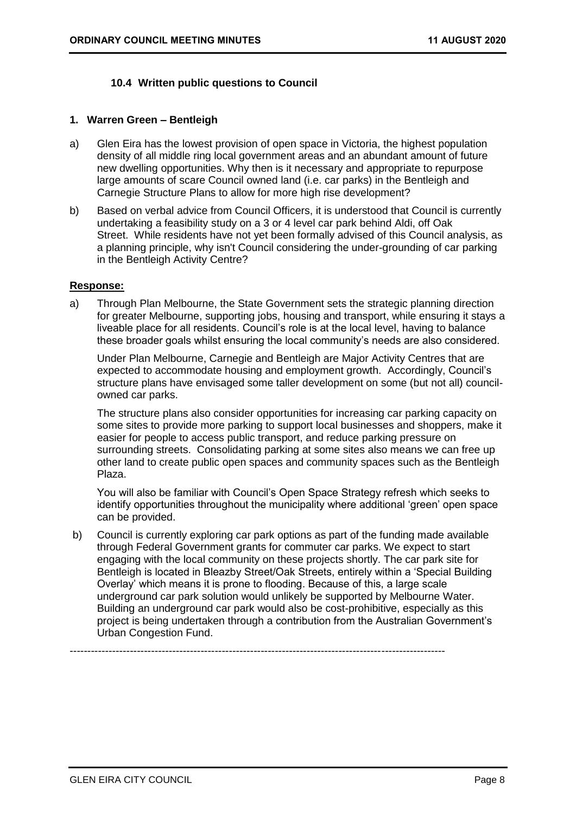### **10.4 Written public questions to Council**

#### <span id="page-7-0"></span>**1. Warren Green – Bentleigh**

- a) Glen Eira has the lowest provision of open space in Victoria, the highest population density of all middle ring local government areas and an abundant amount of future new dwelling opportunities. Why then is it necessary and appropriate to repurpose large amounts of scare Council owned land (i.e. car parks) in the Bentleigh and Carnegie Structure Plans to allow for more high rise development?
- b) Based on verbal advice from Council Officers, it is understood that Council is currently undertaking a feasibility study on a 3 or 4 level car park behind Aldi, off Oak Street. While residents have not yet been formally advised of this Council analysis, as a planning principle, why isn't Council considering the under-grounding of car parking in the Bentleigh Activity Centre?

#### **Response:**

a) Through Plan Melbourne, the State Government sets the strategic planning direction for greater Melbourne, supporting jobs, housing and transport, while ensuring it stays a liveable place for all residents. Council's role is at the local level, having to balance these broader goals whilst ensuring the local community's needs are also considered.

Under Plan Melbourne, Carnegie and Bentleigh are Major Activity Centres that are expected to accommodate housing and employment growth. Accordingly, Council's structure plans have envisaged some taller development on some (but not all) councilowned car parks.

The structure plans also consider opportunities for increasing car parking capacity on some sites to provide more parking to support local businesses and shoppers, make it easier for people to access public transport, and reduce parking pressure on surrounding streets. Consolidating parking at some sites also means we can free up other land to create public open spaces and community spaces such as the Bentleigh Plaza.

You will also be familiar with Council's Open Space Strategy refresh which seeks to identify opportunities throughout the municipality where additional 'green' open space can be provided.

b) Council is currently exploring car park options as part of the funding made available through Federal Government grants for commuter car parks. We expect to start engaging with the local community on these projects shortly. The car park site for Bentleigh is located in Bleazby Street/Oak Streets, entirely within a 'Special Building Overlay' which means it is prone to flooding. Because of this, a large scale underground car park solution would unlikely be supported by Melbourne Water. Building an underground car park would also be cost-prohibitive, especially as this project is being undertaken through a contribution from the Australian Government's Urban Congestion Fund.

----------------------------------------------------------------------------------------------------------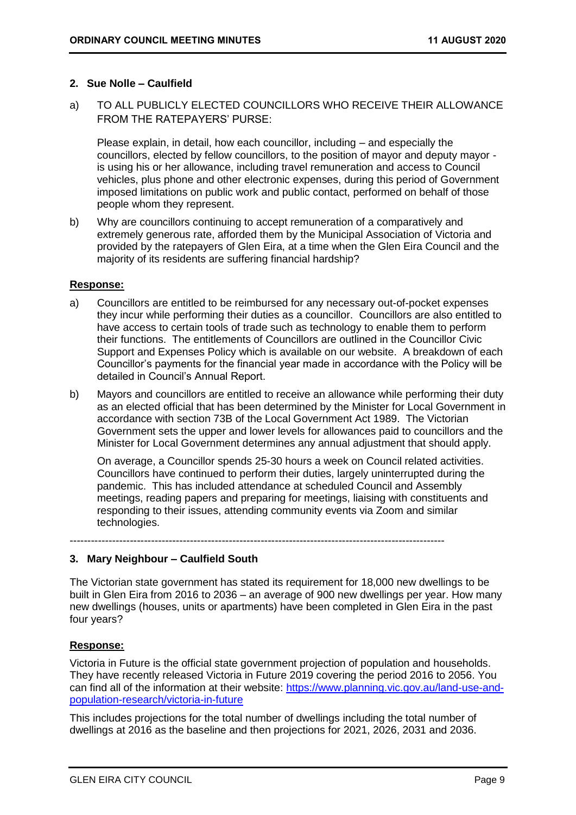#### **2. Sue Nolle – Caulfield**

a) TO ALL PUBLICLY ELECTED COUNCILLORS WHO RECEIVE THEIR ALLOWANCE FROM THE RATEPAYERS' PURSE:

Please explain, in detail, how each councillor, including – and especially the councillors, elected by fellow councillors, to the position of mayor and deputy mayor is using his or her allowance, including travel remuneration and access to Council vehicles, plus phone and other electronic expenses, during this period of Government imposed limitations on public work and public contact, performed on behalf of those people whom they represent.

b) Why are councillors continuing to accept remuneration of a comparatively and extremely generous rate, afforded them by the Municipal Association of Victoria and provided by the ratepayers of Glen Eira, at a time when the Glen Eira Council and the majority of its residents are suffering financial hardship?

#### **Response:**

- a) Councillors are entitled to be reimbursed for any necessary out-of-pocket expenses they incur while performing their duties as a councillor. Councillors are also entitled to have access to certain tools of trade such as technology to enable them to perform their functions. The entitlements of Councillors are outlined in the Councillor Civic Support and Expenses Policy which is available on our website. A breakdown of each Councillor's payments for the financial year made in accordance with the Policy will be detailed in Council's Annual Report.
- b) Mayors and councillors are entitled to receive an allowance while performing their duty as an elected official that has been determined by the Minister for Local Government in accordance with section 73B of the Local Government Act 1989. The Victorian Government sets the upper and lower levels for allowances paid to councillors and the Minister for Local Government determines any annual adjustment that should apply.

On average, a Councillor spends 25-30 hours a week on Council related activities. Councillors have continued to perform their duties, largely uninterrupted during the pandemic. This has included attendance at scheduled Council and Assembly meetings, reading papers and preparing for meetings, liaising with constituents and responding to their issues, attending community events via Zoom and similar technologies.

----------------------------------------------------------------------------------------------------------

### **3. Mary Neighbour – Caulfield South**

The Victorian state government has stated its requirement for 18,000 new dwellings to be built in Glen Eira from 2016 to 2036 – an average of 900 new dwellings per year. How many new dwellings (houses, units or apartments) have been completed in Glen Eira in the past four years?

#### **Response:**

Victoria in Future is the official state government projection of population and households. They have recently released Victoria in Future 2019 covering the period 2016 to 2056. You can find all of the information at their website: [https://www.planning.vic.gov.au/land-use-and](https://www.planning.vic.gov.au/land-use-and-population-research/victoria-in-future)[population-research/victoria-in-future](https://www.planning.vic.gov.au/land-use-and-population-research/victoria-in-future)

This includes projections for the total number of dwellings including the total number of dwellings at 2016 as the baseline and then projections for 2021, 2026, 2031 and 2036.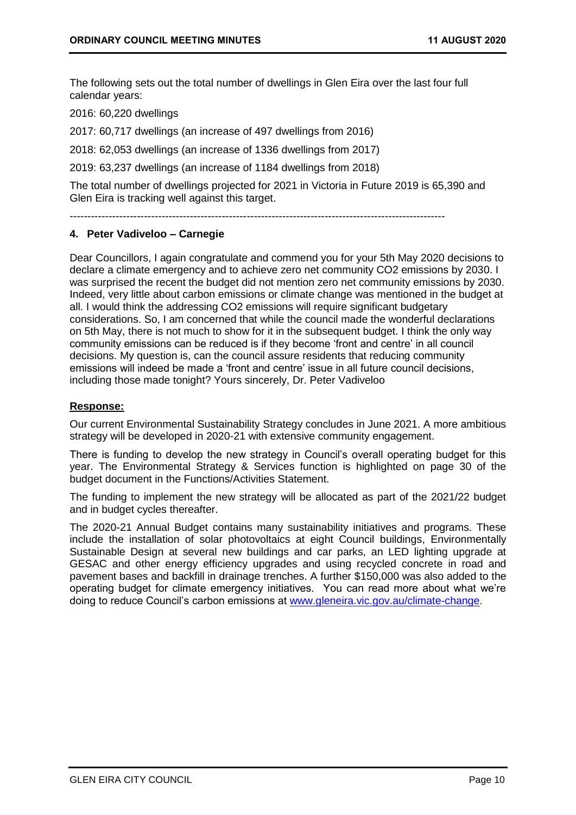The following sets out the total number of dwellings in Glen Eira over the last four full calendar years:

2016: 60,220 dwellings

2017: 60,717 dwellings (an increase of 497 dwellings from 2016)

2018: 62,053 dwellings (an increase of 1336 dwellings from 2017)

2019: 63,237 dwellings (an increase of 1184 dwellings from 2018)

The total number of dwellings projected for 2021 in Victoria in Future 2019 is 65,390 and Glen Eira is tracking well against this target.

----------------------------------------------------------------------------------------------------------

#### **4. Peter Vadiveloo – Carnegie**

Dear Councillors, I again congratulate and commend you for your 5th May 2020 decisions to declare a climate emergency and to achieve zero net community CO2 emissions by 2030. I was surprised the recent the budget did not mention zero net community emissions by 2030. Indeed, very little about carbon emissions or climate change was mentioned in the budget at all. I would think the addressing CO2 emissions will require significant budgetary considerations. So, I am concerned that while the council made the wonderful declarations on 5th May, there is not much to show for it in the subsequent budget. I think the only way community emissions can be reduced is if they become 'front and centre' in all council decisions. My question is, can the council assure residents that reducing community emissions will indeed be made a 'front and centre' issue in all future council decisions, including those made tonight? Yours sincerely, Dr. Peter Vadiveloo

#### **Response:**

Our current Environmental Sustainability Strategy concludes in June 2021. A more ambitious strategy will be developed in 2020-21 with extensive community engagement.

There is funding to develop the new strategy in Council's overall operating budget for this year. The Environmental Strategy & Services function is highlighted on page 30 of the budget document in the Functions/Activities Statement.

The funding to implement the new strategy will be allocated as part of the 2021/22 budget and in budget cycles thereafter.

The 2020-21 Annual Budget contains many sustainability initiatives and programs. These include the installation of solar photovoltaics at eight Council buildings, Environmentally Sustainable Design at several new buildings and car parks, an LED lighting upgrade at GESAC and other energy efficiency upgrades and using recycled concrete in road and pavement bases and backfill in drainage trenches. A further \$150,000 was also added to the operating budget for climate emergency initiatives. You can read more about what we're doing to reduce Council's carbon emissions at [www.gleneira.vic.gov.au/climate-change.](http://www.gleneira.vic.gov.au/climate-change)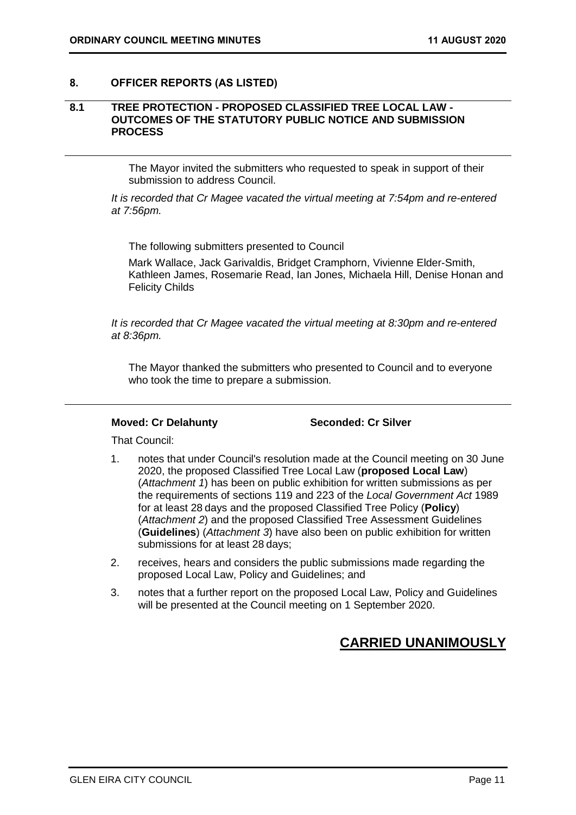#### <span id="page-10-1"></span><span id="page-10-0"></span>**8. OFFICER REPORTS (AS LISTED)**

#### **8.1 TREE PROTECTION - PROPOSED CLASSIFIED TREE LOCAL LAW - OUTCOMES OF THE STATUTORY PUBLIC NOTICE AND SUBMISSION PROCESS**

The Mayor invited the submitters who requested to speak in support of their submission to address Council.

*It is recorded that Cr Magee vacated the virtual meeting at 7:54pm and re-entered at 7:56pm.*

The following submitters presented to Council

Mark Wallace, Jack Garivaldis, Bridget Cramphorn, Vivienne Elder-Smith, Kathleen James, Rosemarie Read, Ian Jones, Michaela Hill, Denise Honan and Felicity Childs

*It is recorded that Cr Magee vacated the virtual meeting at 8:30pm and re-entered at 8:36pm.* 

The Mayor thanked the submitters who presented to Council and to everyone who took the time to prepare a submission.

#### **Moved: Cr Delahunty Seconded: Cr Silver**

That Council:

- 1. notes that under Council's resolution made at the Council meeting on 30 June 2020, the proposed Classified Tree Local Law (**proposed Local Law**) (*Attachment 1*) has been on public exhibition for written submissions as per the requirements of sections 119 and 223 of the *Local Government Act* 1989 for at least 28 days and the proposed Classified Tree Policy (**Policy**) (*Attachment 2*) and the proposed Classified Tree Assessment Guidelines (**Guidelines**) (*Attachment 3*) have also been on public exhibition for written submissions for at least 28 days;
- 2. receives, hears and considers the public submissions made regarding the proposed Local Law, Policy and Guidelines; and
- 3. notes that a further report on the proposed Local Law, Policy and Guidelines will be presented at the Council meeting on 1 September 2020.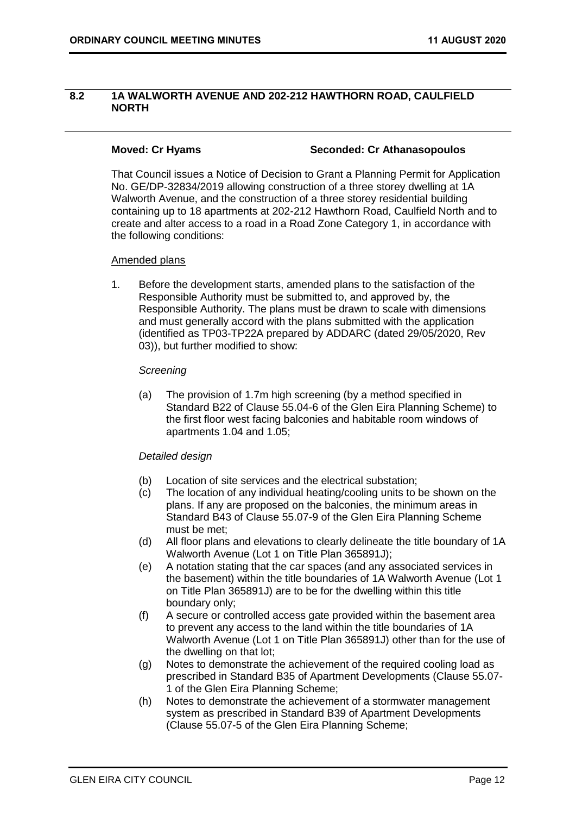### <span id="page-11-0"></span>**8.2 1A WALWORTH AVENUE AND 202-212 HAWTHORN ROAD, CAULFIELD NORTH**

#### **Moved: Cr Hyams Seconded: Cr Athanasopoulos**

That Council issues a Notice of Decision to Grant a Planning Permit for Application No. GE/DP-32834/2019 allowing construction of a three storey dwelling at 1A Walworth Avenue, and the construction of a three storey residential building containing up to 18 apartments at 202-212 Hawthorn Road, Caulfield North and to create and alter access to a road in a Road Zone Category 1, in accordance with the following conditions:

#### Amended plans

1. Before the development starts, amended plans to the satisfaction of the Responsible Authority must be submitted to, and approved by, the Responsible Authority. The plans must be drawn to scale with dimensions and must generally accord with the plans submitted with the application (identified as TP03-TP22A prepared by ADDARC (dated 29/05/2020, Rev 03)), but further modified to show:

#### *Screening*

(a) The provision of 1.7m high screening (by a method specified in Standard B22 of Clause 55.04-6 of the Glen Eira Planning Scheme) to the first floor west facing balconies and habitable room windows of apartments 1.04 and 1.05;

### *Detailed design*

- (b) Location of site services and the electrical substation;
- (c) The location of any individual heating/cooling units to be shown on the plans. If any are proposed on the balconies, the minimum areas in Standard B43 of Clause 55.07-9 of the Glen Eira Planning Scheme must be met;
- (d) All floor plans and elevations to clearly delineate the title boundary of 1A Walworth Avenue (Lot 1 on Title Plan 365891J);
- (e) A notation stating that the car spaces (and any associated services in the basement) within the title boundaries of 1A Walworth Avenue (Lot 1 on Title Plan 365891J) are to be for the dwelling within this title boundary only;
- (f) A secure or controlled access gate provided within the basement area to prevent any access to the land within the title boundaries of 1A Walworth Avenue (Lot 1 on Title Plan 365891J) other than for the use of the dwelling on that lot;
- (g) Notes to demonstrate the achievement of the required cooling load as prescribed in Standard B35 of Apartment Developments (Clause 55.07- 1 of the Glen Eira Planning Scheme;
- (h) Notes to demonstrate the achievement of a stormwater management system as prescribed in Standard B39 of Apartment Developments (Clause 55.07-5 of the Glen Eira Planning Scheme;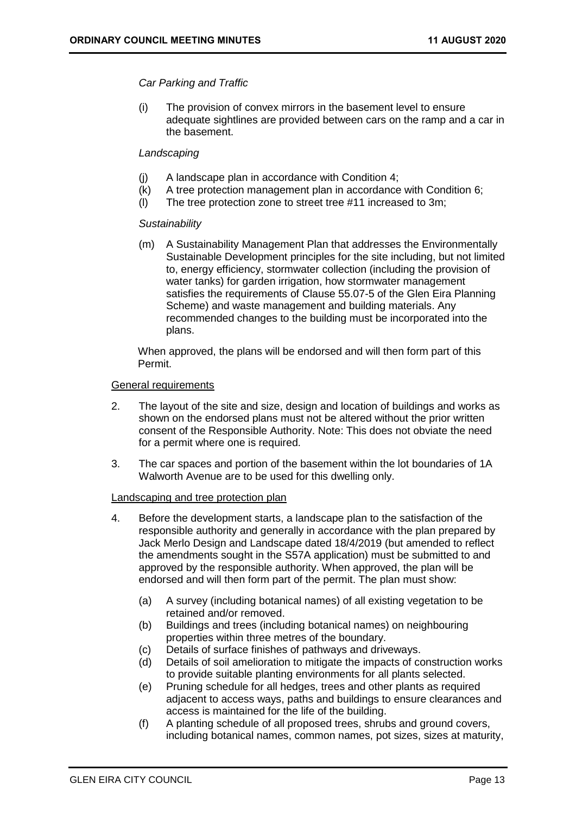#### *Car Parking and Traffic*

(i) The provision of convex mirrors in the basement level to ensure adequate sightlines are provided between cars on the ramp and a car in the basement.

### *Landscaping*

- (j) A landscape plan in accordance with Condition 4;
- (k) A tree protection management plan in accordance with Condition 6;
- (l) The tree protection zone to street tree #11 increased to 3m;

#### *Sustainability*

(m) A Sustainability Management Plan that addresses the Environmentally Sustainable Development principles for the site including, but not limited to, energy efficiency, stormwater collection (including the provision of water tanks) for garden irrigation, how stormwater management satisfies the requirements of Clause 55.07-5 of the Glen Eira Planning Scheme) and waste management and building materials. Any recommended changes to the building must be incorporated into the plans.

When approved, the plans will be endorsed and will then form part of this Permit.

#### General requirements

- 2. The layout of the site and size, design and location of buildings and works as shown on the endorsed plans must not be altered without the prior written consent of the Responsible Authority. Note: This does not obviate the need for a permit where one is required.
- 3. The car spaces and portion of the basement within the lot boundaries of 1A Walworth Avenue are to be used for this dwelling only.

#### Landscaping and tree protection plan

- 4. Before the development starts, a landscape plan to the satisfaction of the responsible authority and generally in accordance with the plan prepared by Jack Merlo Design and Landscape dated 18/4/2019 (but amended to reflect the amendments sought in the S57A application) must be submitted to and approved by the responsible authority. When approved, the plan will be endorsed and will then form part of the permit. The plan must show:
	- (a) A survey (including botanical names) of all existing vegetation to be retained and/or removed.
	- (b) Buildings and trees (including botanical names) on neighbouring properties within three metres of the boundary.
	- (c) Details of surface finishes of pathways and driveways.
	- (d) Details of soil amelioration to mitigate the impacts of construction works to provide suitable planting environments for all plants selected.
	- (e) Pruning schedule for all hedges, trees and other plants as required adjacent to access ways, paths and buildings to ensure clearances and access is maintained for the life of the building.
	- (f) A planting schedule of all proposed trees, shrubs and ground covers, including botanical names, common names, pot sizes, sizes at maturity,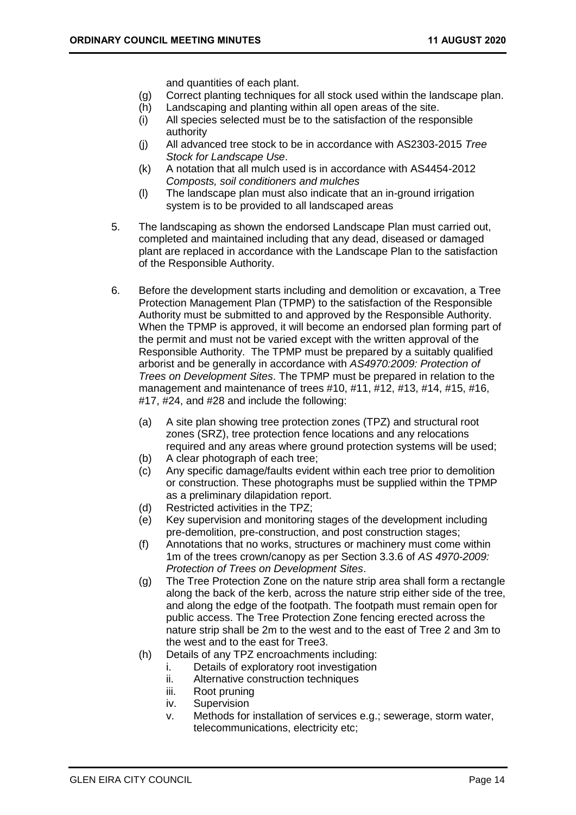and quantities of each plant.

- (g) Correct planting techniques for all stock used within the landscape plan.
- (h) Landscaping and planting within all open areas of the site.
- (i) All species selected must be to the satisfaction of the responsible authority
- (j) All advanced tree stock to be in accordance with AS2303-2015 *Tree Stock for Landscape Use*.
- (k) A notation that all mulch used is in accordance with AS4454-2012 *Composts, soil conditioners and mulches*
- (l) The landscape plan must also indicate that an in-ground irrigation system is to be provided to all landscaped areas
- 5. The landscaping as shown the endorsed Landscape Plan must carried out, completed and maintained including that any dead, diseased or damaged plant are replaced in accordance with the Landscape Plan to the satisfaction of the Responsible Authority.
- 6. Before the development starts including and demolition or excavation, a Tree Protection Management Plan (TPMP) to the satisfaction of the Responsible Authority must be submitted to and approved by the Responsible Authority. When the TPMP is approved, it will become an endorsed plan forming part of the permit and must not be varied except with the written approval of the Responsible Authority. The TPMP must be prepared by a suitably qualified arborist and be generally in accordance with *AS4970:2009: Protection of Trees on Development Sites*. The TPMP must be prepared in relation to the management and maintenance of trees #10, #11, #12, #13, #14, #15, #16, #17, #24, and #28 and include the following:
	- (a) A site plan showing tree protection zones (TPZ) and structural root zones (SRZ), tree protection fence locations and any relocations required and any areas where ground protection systems will be used;
	- (b) A clear photograph of each tree;
	- (c) Any specific damage/faults evident within each tree prior to demolition or construction. These photographs must be supplied within the TPMP as a preliminary dilapidation report.
	- (d) Restricted activities in the TPZ;
	- (e) Key supervision and monitoring stages of the development including pre-demolition, pre-construction, and post construction stages;
	- (f) Annotations that no works, structures or machinery must come within 1m of the trees crown/canopy as per Section 3.3.6 of *AS 4970-2009: Protection of Trees on Development Sites*.
	- (g) The Tree Protection Zone on the nature strip area shall form a rectangle along the back of the kerb, across the nature strip either side of the tree, and along the edge of the footpath. The footpath must remain open for public access. The Tree Protection Zone fencing erected across the nature strip shall be 2m to the west and to the east of Tree 2 and 3m to the west and to the east for Tree3.
	- (h) Details of any TPZ encroachments including:
		- i. Details of exploratory root investigation
		- ii. Alternative construction techniques
		- iii. Root pruning
		- iv. Supervision
		- v. Methods for installation of services e.g.; sewerage, storm water, telecommunications, electricity etc;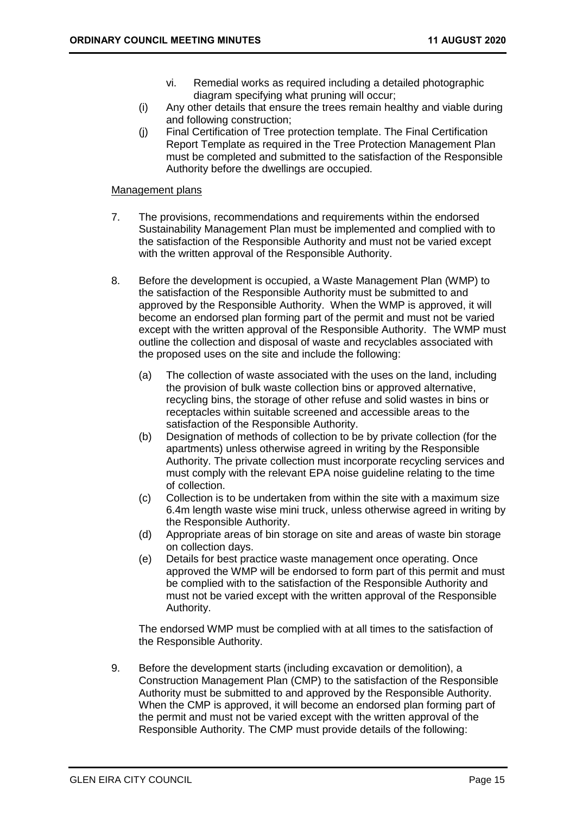- vi. Remedial works as required including a detailed photographic diagram specifying what pruning will occur;
- (i) Any other details that ensure the trees remain healthy and viable during and following construction;
- (j) Final Certification of Tree protection template. The Final Certification Report Template as required in the Tree Protection Management Plan must be completed and submitted to the satisfaction of the Responsible Authority before the dwellings are occupied.

#### Management plans

- 7. The provisions, recommendations and requirements within the endorsed Sustainability Management Plan must be implemented and complied with to the satisfaction of the Responsible Authority and must not be varied except with the written approval of the Responsible Authority.
- 8. Before the development is occupied, a Waste Management Plan (WMP) to the satisfaction of the Responsible Authority must be submitted to and approved by the Responsible Authority. When the WMP is approved, it will become an endorsed plan forming part of the permit and must not be varied except with the written approval of the Responsible Authority. The WMP must outline the collection and disposal of waste and recyclables associated with the proposed uses on the site and include the following:
	- (a) The collection of waste associated with the uses on the land, including the provision of bulk waste collection bins or approved alternative, recycling bins, the storage of other refuse and solid wastes in bins or receptacles within suitable screened and accessible areas to the satisfaction of the Responsible Authority.
	- (b) Designation of methods of collection to be by private collection (for the apartments) unless otherwise agreed in writing by the Responsible Authority. The private collection must incorporate recycling services and must comply with the relevant EPA noise guideline relating to the time of collection.
	- (c) Collection is to be undertaken from within the site with a maximum size 6.4m length waste wise mini truck, unless otherwise agreed in writing by the Responsible Authority.
	- (d) Appropriate areas of bin storage on site and areas of waste bin storage on collection days.
	- (e) Details for best practice waste management once operating. Once approved the WMP will be endorsed to form part of this permit and must be complied with to the satisfaction of the Responsible Authority and must not be varied except with the written approval of the Responsible Authority.

The endorsed WMP must be complied with at all times to the satisfaction of the Responsible Authority.

9. Before the development starts (including excavation or demolition), a Construction Management Plan (CMP) to the satisfaction of the Responsible Authority must be submitted to and approved by the Responsible Authority. When the CMP is approved, it will become an endorsed plan forming part of the permit and must not be varied except with the written approval of the Responsible Authority. The CMP must provide details of the following: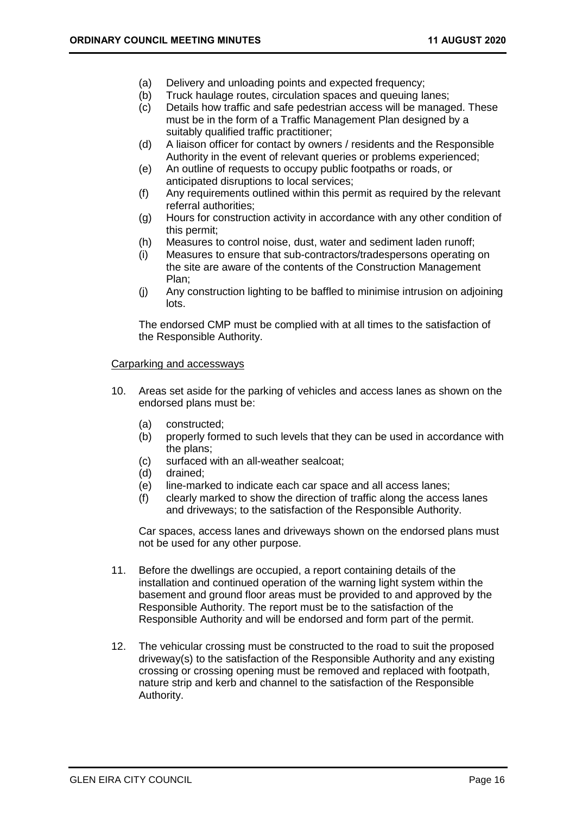- (a) Delivery and unloading points and expected frequency;
- (b) Truck haulage routes, circulation spaces and queuing lanes;
- (c) Details how traffic and safe pedestrian access will be managed. These must be in the form of a Traffic Management Plan designed by a suitably qualified traffic practitioner;
- (d) A liaison officer for contact by owners / residents and the Responsible Authority in the event of relevant queries or problems experienced;
- (e) An outline of requests to occupy public footpaths or roads, or anticipated disruptions to local services;
- (f) Any requirements outlined within this permit as required by the relevant referral authorities;
- (g) Hours for construction activity in accordance with any other condition of this permit;
- (h) Measures to control noise, dust, water and sediment laden runoff;
- (i) Measures to ensure that sub-contractors/tradespersons operating on the site are aware of the contents of the Construction Management Plan;
- (j) Any construction lighting to be baffled to minimise intrusion on adjoining lots.

The endorsed CMP must be complied with at all times to the satisfaction of the Responsible Authority.

#### Carparking and accessways

- 10. Areas set aside for the parking of vehicles and access lanes as shown on the endorsed plans must be:
	- (a) constructed;
	- (b) properly formed to such levels that they can be used in accordance with the plans;
	- (c) surfaced with an all-weather sealcoat;
	- (d) drained;
	- (e) line-marked to indicate each car space and all access lanes;
	- (f) clearly marked to show the direction of traffic along the access lanes and driveways; to the satisfaction of the Responsible Authority.

Car spaces, access lanes and driveways shown on the endorsed plans must not be used for any other purpose.

- 11. Before the dwellings are occupied, a report containing details of the installation and continued operation of the warning light system within the basement and ground floor areas must be provided to and approved by the Responsible Authority. The report must be to the satisfaction of the Responsible Authority and will be endorsed and form part of the permit.
- 12. The vehicular crossing must be constructed to the road to suit the proposed driveway(s) to the satisfaction of the Responsible Authority and any existing crossing or crossing opening must be removed and replaced with footpath, nature strip and kerb and channel to the satisfaction of the Responsible Authority.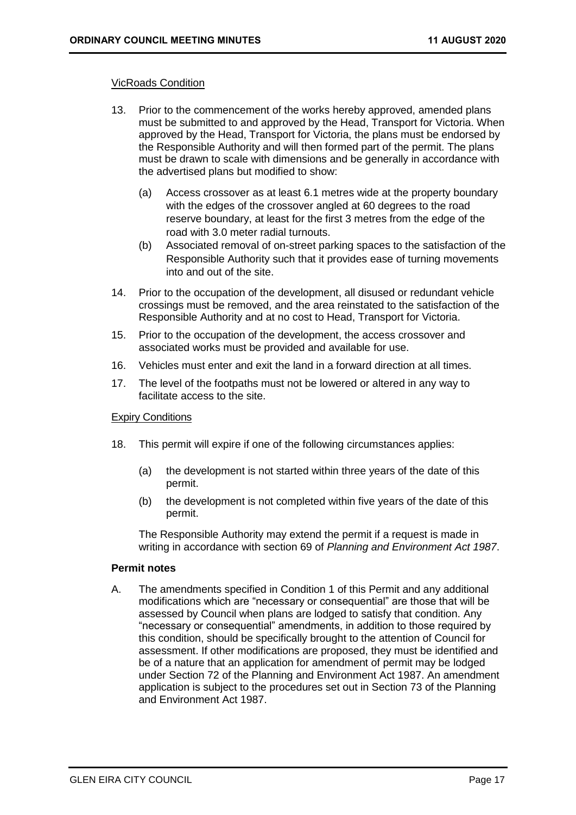#### VicRoads Condition

- 13. Prior to the commencement of the works hereby approved, amended plans must be submitted to and approved by the Head, Transport for Victoria. When approved by the Head, Transport for Victoria, the plans must be endorsed by the Responsible Authority and will then formed part of the permit. The plans must be drawn to scale with dimensions and be generally in accordance with the advertised plans but modified to show:
	- (a) Access crossover as at least 6.1 metres wide at the property boundary with the edges of the crossover angled at 60 degrees to the road reserve boundary, at least for the first 3 metres from the edge of the road with 3.0 meter radial turnouts.
	- (b) Associated removal of on-street parking spaces to the satisfaction of the Responsible Authority such that it provides ease of turning movements into and out of the site.
- 14. Prior to the occupation of the development, all disused or redundant vehicle crossings must be removed, and the area reinstated to the satisfaction of the Responsible Authority and at no cost to Head, Transport for Victoria.
- 15. Prior to the occupation of the development, the access crossover and associated works must be provided and available for use.
- 16. Vehicles must enter and exit the land in a forward direction at all times.
- 17. The level of the footpaths must not be lowered or altered in any way to facilitate access to the site.

#### Expiry Conditions

- 18. This permit will expire if one of the following circumstances applies:
	- (a) the development is not started within three years of the date of this permit.
	- (b) the development is not completed within five years of the date of this permit.

The Responsible Authority may extend the permit if a request is made in writing in accordance with section 69 of *Planning and Environment Act 1987*.

#### **Permit notes**

A. The amendments specified in Condition 1 of this Permit and any additional modifications which are "necessary or consequential" are those that will be assessed by Council when plans are lodged to satisfy that condition. Any "necessary or consequential" amendments, in addition to those required by this condition, should be specifically brought to the attention of Council for assessment. If other modifications are proposed, they must be identified and be of a nature that an application for amendment of permit may be lodged under Section 72 of the Planning and Environment Act 1987. An amendment application is subject to the procedures set out in Section 73 of the Planning and Environment Act 1987.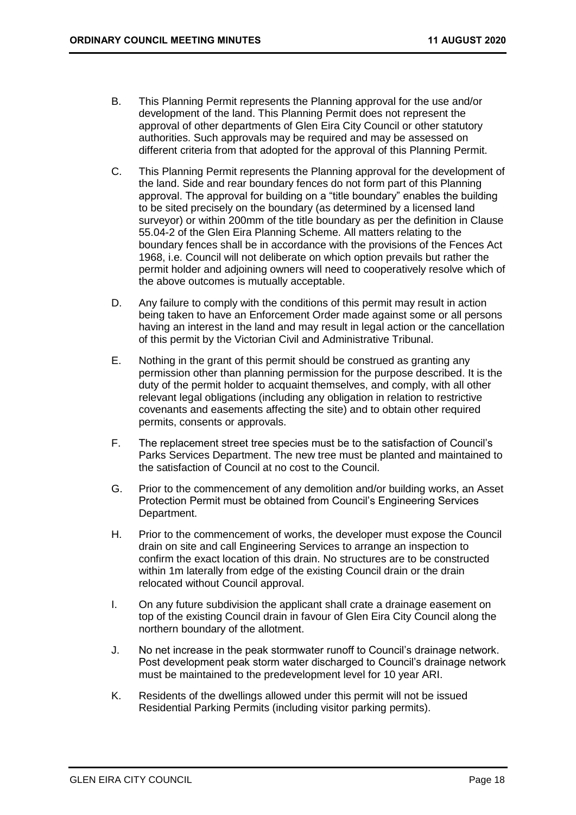- B. This Planning Permit represents the Planning approval for the use and/or development of the land. This Planning Permit does not represent the approval of other departments of Glen Eira City Council or other statutory authorities. Such approvals may be required and may be assessed on different criteria from that adopted for the approval of this Planning Permit.
- C. This Planning Permit represents the Planning approval for the development of the land. Side and rear boundary fences do not form part of this Planning approval. The approval for building on a "title boundary" enables the building to be sited precisely on the boundary (as determined by a licensed land surveyor) or within 200mm of the title boundary as per the definition in Clause 55.04-2 of the Glen Eira Planning Scheme. All matters relating to the boundary fences shall be in accordance with the provisions of the Fences Act 1968, i.e. Council will not deliberate on which option prevails but rather the permit holder and adjoining owners will need to cooperatively resolve which of the above outcomes is mutually acceptable.
- D. Any failure to comply with the conditions of this permit may result in action being taken to have an Enforcement Order made against some or all persons having an interest in the land and may result in legal action or the cancellation of this permit by the Victorian Civil and Administrative Tribunal.
- E. Nothing in the grant of this permit should be construed as granting any permission other than planning permission for the purpose described. It is the duty of the permit holder to acquaint themselves, and comply, with all other relevant legal obligations (including any obligation in relation to restrictive covenants and easements affecting the site) and to obtain other required permits, consents or approvals.
- F. The replacement street tree species must be to the satisfaction of Council's Parks Services Department. The new tree must be planted and maintained to the satisfaction of Council at no cost to the Council.
- G. Prior to the commencement of any demolition and/or building works, an Asset Protection Permit must be obtained from Council's Engineering Services Department.
- H. Prior to the commencement of works, the developer must expose the Council drain on site and call Engineering Services to arrange an inspection to confirm the exact location of this drain. No structures are to be constructed within 1m laterally from edge of the existing Council drain or the drain relocated without Council approval.
- I. On any future subdivision the applicant shall crate a drainage easement on top of the existing Council drain in favour of Glen Eira City Council along the northern boundary of the allotment.
- J. No net increase in the peak stormwater runoff to Council's drainage network. Post development peak storm water discharged to Council's drainage network must be maintained to the predevelopment level for 10 year ARI.
- K. Residents of the dwellings allowed under this permit will not be issued Residential Parking Permits (including visitor parking permits).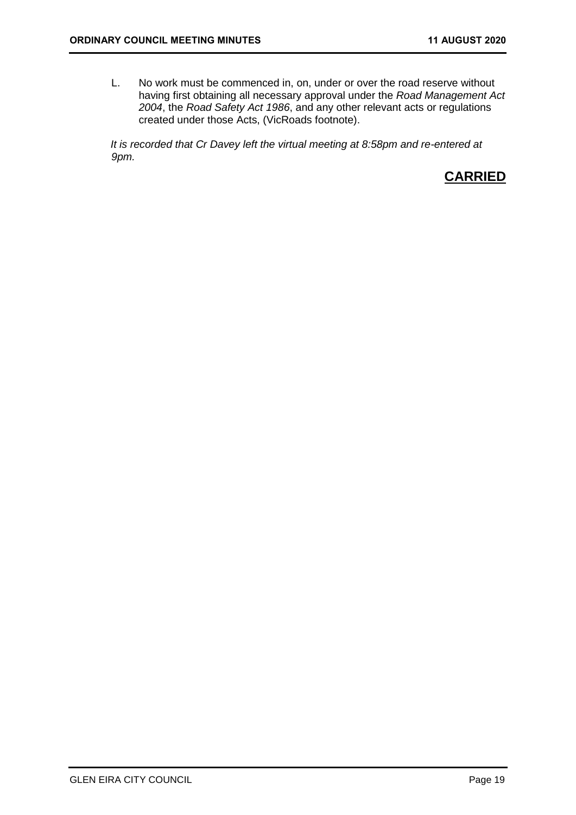L. No work must be commenced in, on, under or over the road reserve without having first obtaining all necessary approval under the *Road Management Act 2004*, the *Road Safety Act 1986*, and any other relevant acts or regulations created under those Acts, (VicRoads footnote).

*It is recorded that Cr Davey left the virtual meeting at 8:58pm and re-entered at 9pm.*

# **CARRIED**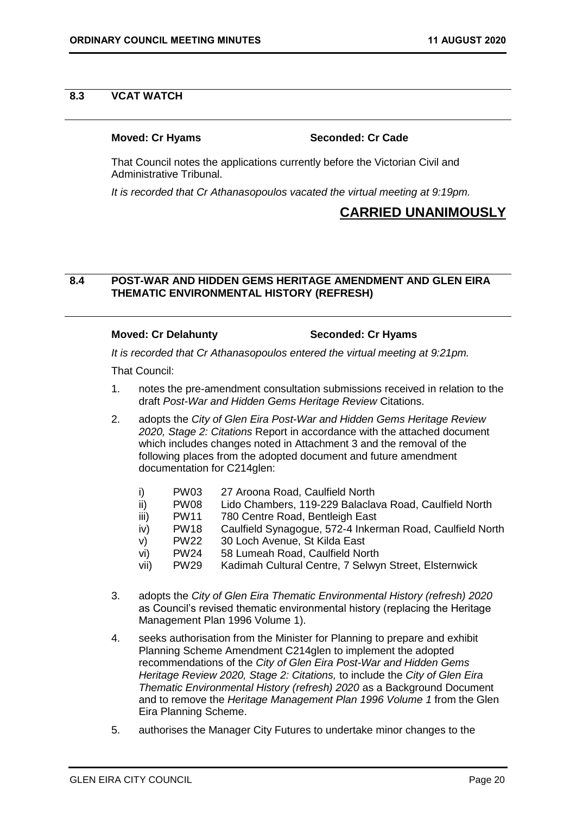#### <span id="page-19-0"></span>**8.3 VCAT WATCH**

#### **Moved: Cr Hyams Seconded: Cr Cade**

That Council notes the applications currently before the Victorian Civil and Administrative Tribunal.

*It is recorded that Cr Athanasopoulos vacated the virtual meeting at 9:19pm.*

# **CARRIED UNANIMOUSLY**

#### **8.4 POST-WAR AND HIDDEN GEMS HERITAGE AMENDMENT AND GLEN EIRA THEMATIC ENVIRONMENTAL HISTORY (REFRESH)**

#### **Moved: Cr Delahunty Seconded: Cr Hyams**

*It is recorded that Cr Athanasopoulos entered the virtual meeting at 9:21pm.*

That Council:

- 1. notes the pre-amendment consultation submissions received in relation to the draft *Post-War and Hidden Gems Heritage Review* Citations.
- 2. adopts the *City of Glen Eira Post-War and Hidden Gems Heritage Review 2020, Stage 2: Citations* Report in accordance with the attached document which includes changes noted in Attachment 3 and the removal of the following places from the adopted document and future amendment documentation for C214glen:
	- i) PW03 27 Aroona Road, Caulfield North
	- ii) PW08 Lido Chambers, 119-229 Balaclava Road, Caulfield North<br>iii) PW11 780 Centre Road, Bentleigh East
	- iii) PW11 780 Centre Road, Bentleigh East
	- iv) PW18 Caulfield Synagogue, 572-4 Inkerman Road, Caulfield North
	- v) PW22 30 Loch Avenue, St Kilda East
	- vi) PW24 58 Lumeah Road, Caulfield North
	- vii) PW29 Kadimah Cultural Centre, 7 Selwyn Street, Elsternwick
- 3. adopts the *City of Glen Eira Thematic Environmental History (refresh) 2020*  as Council's revised thematic environmental history (replacing the Heritage Management Plan 1996 Volume 1).
- 4. seeks authorisation from the Minister for Planning to prepare and exhibit Planning Scheme Amendment C214glen to implement the adopted recommendations of the *City of Glen Eira Post-War and Hidden Gems Heritage Review 2020, Stage 2: Citations,* to include the *City of Glen Eira Thematic Environmental History (refresh) 2020* as a Background Document and to remove the *Heritage Management Plan 1996 Volume 1* from the Glen Eira Planning Scheme.
- 5. authorises the Manager City Futures to undertake minor changes to the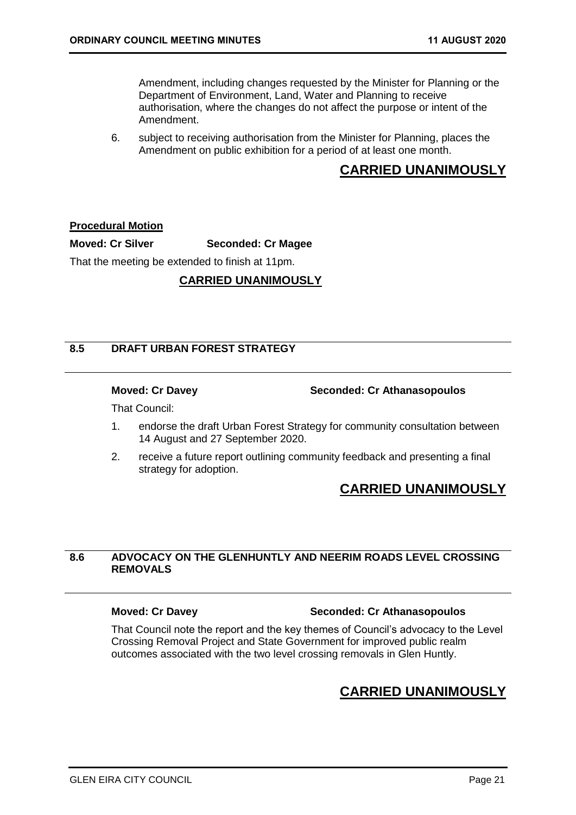<span id="page-20-0"></span>Amendment, including changes requested by the Minister for Planning or the Department of Environment, Land, Water and Planning to receive authorisation, where the changes do not affect the purpose or intent of the Amendment.

6. subject to receiving authorisation from the Minister for Planning, places the Amendment on public exhibition for a period of at least one month.

# **CARRIED UNANIMOUSLY**

#### **Procedural Motion**

**Moved: Cr Silver Seconded: Cr Magee**

That the meeting be extended to finish at 11pm.

#### **CARRIED UNANIMOUSLY**

#### **8.5 DRAFT URBAN FOREST STRATEGY**

**Moved: Cr Davey Seconded: Cr Athanasopoulos**

That Council:

- 1. endorse the draft Urban Forest Strategy for community consultation between 14 August and 27 September 2020.
- 2. receive a future report outlining community feedback and presenting a final strategy for adoption.

# **CARRIED UNANIMOUSLY**

### **8.6 ADVOCACY ON THE GLENHUNTLY AND NEERIM ROADS LEVEL CROSSING REMOVALS**

#### **Moved: Cr Davey Seconded: Cr Athanasopoulos**

That Council note the report and the key themes of Council's advocacy to the Level Crossing Removal Project and State Government for improved public realm outcomes associated with the two level crossing removals in Glen Huntly.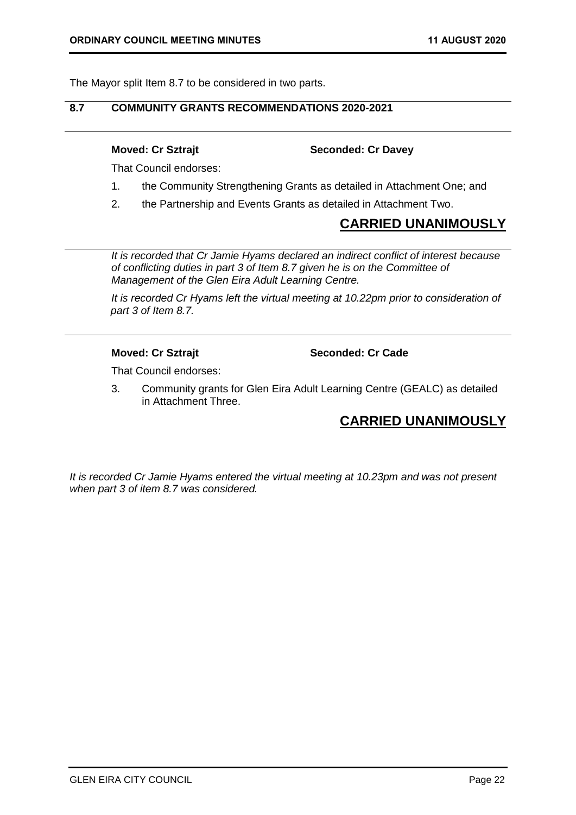<span id="page-21-0"></span>The Mayor split Item 8.7 to be considered in two parts.

### **8.7 COMMUNITY GRANTS RECOMMENDATIONS 2020-2021**

#### **Moved: Cr Sztrajt Seconded: Cr Davey**

That Council endorses:

- 1. the Community Strengthening Grants as detailed in Attachment One; and
- 2. the Partnership and Events Grants as detailed in Attachment Two.

# **CARRIED UNANIMOUSLY**

*It is recorded that Cr Jamie Hyams declared an indirect conflict of interest because of conflicting duties in part 3 of Item 8.7 given he is on the Committee of Management of the Glen Eira Adult Learning Centre.*

*It is recorded Cr Hyams left the virtual meeting at 10.22pm prior to consideration of part 3 of Item 8.7.* 

**Moved: Cr Sztrajt Seconded: Cr Cade**

That Council endorses:

3. Community grants for Glen Eira Adult Learning Centre (GEALC) as detailed in Attachment Three.

# **CARRIED UNANIMOUSLY**

*It is recorded Cr Jamie Hyams entered the virtual meeting at 10.23pm and was not present when part 3 of item 8.7 was considered.*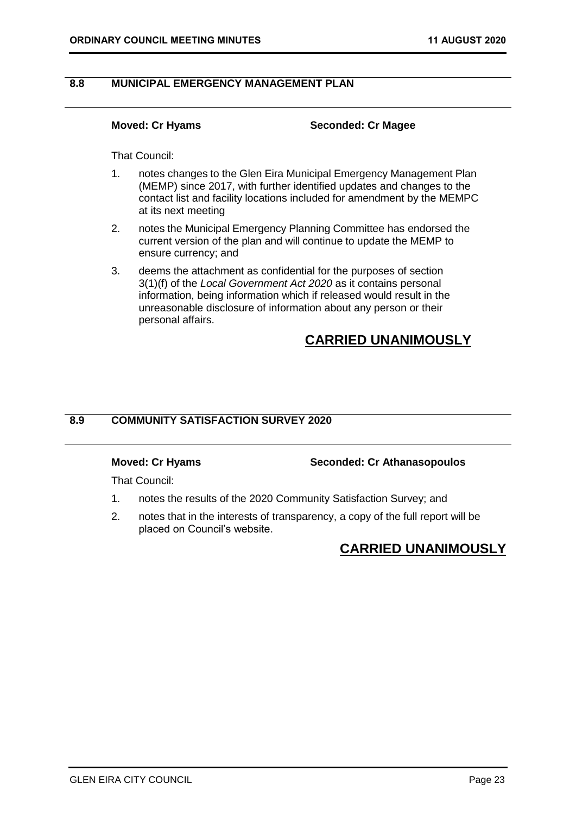### <span id="page-22-0"></span>**8.8 MUNICIPAL EMERGENCY MANAGEMENT PLAN**

#### **Moved: Cr Hyams Seconded: Cr Magee**

That Council:

- 1. notes changes to the Glen Eira Municipal Emergency Management Plan (MEMP) since 2017, with further identified updates and changes to the contact list and facility locations included for amendment by the MEMPC at its next meeting
- 2. notes the Municipal Emergency Planning Committee has endorsed the current version of the plan and will continue to update the MEMP to ensure currency; and
- 3. deems the attachment as confidential for the purposes of section 3(1)(f) of the *Local Government Act 2020* as it contains personal information, being information which if released would result in the unreasonable disclosure of information about any person or their personal affairs.

# **CARRIED UNANIMOUSLY**

### **8.9 COMMUNITY SATISFACTION SURVEY 2020**

#### **Moved: Cr Hyams Seconded: Cr Athanasopoulos**

That Council:

- 1. notes the results of the 2020 Community Satisfaction Survey; and
- 2. notes that in the interests of transparency, a copy of the full report will be placed on Council's website.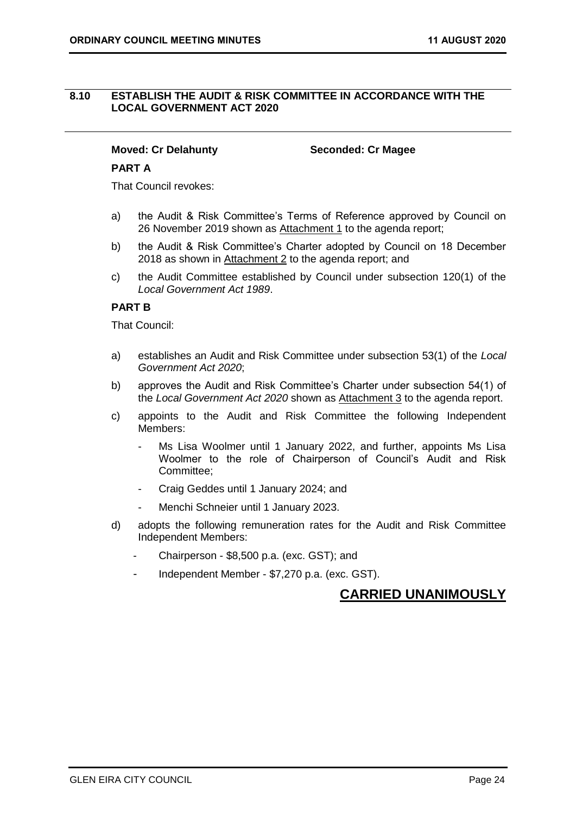#### <span id="page-23-0"></span>**8.10 ESTABLISH THE AUDIT & RISK COMMITTEE IN ACCORDANCE WITH THE LOCAL GOVERNMENT ACT 2020**

### **Moved: Cr Delahunty Seconded: Cr Magee**

#### **PART A**

That Council revokes:

- a) the Audit & Risk Committee's Terms of Reference approved by Council on 26 November 2019 shown as Attachment 1 to the agenda report;
- b) the Audit & Risk Committee's Charter adopted by Council on 18 December 2018 as shown in Attachment 2 to the agenda report; and
- c) the Audit Committee established by Council under subsection 120(1) of the *Local Government Act 1989*.

### **PART B**

That Council:

- a) establishes an Audit and Risk Committee under subsection 53(1) of the *Local Government Act 2020*;
- b) approves the Audit and Risk Committee's Charter under subsection 54(1) of the *Local Government Act 2020* shown as Attachment 3 to the agenda report.
- c) appoints to the Audit and Risk Committee the following Independent Members:
	- Ms Lisa Woolmer until 1 January 2022, and further, appoints Ms Lisa Woolmer to the role of Chairperson of Council's Audit and Risk Committee;
	- Craig Geddes until 1 January 2024; and
	- Menchi Schneier until 1 January 2023.
- d) adopts the following remuneration rates for the Audit and Risk Committee Independent Members:
	- Chairperson \$8,500 p.a. (exc. GST); and
	- Independent Member \$7,270 p.a. (exc. GST).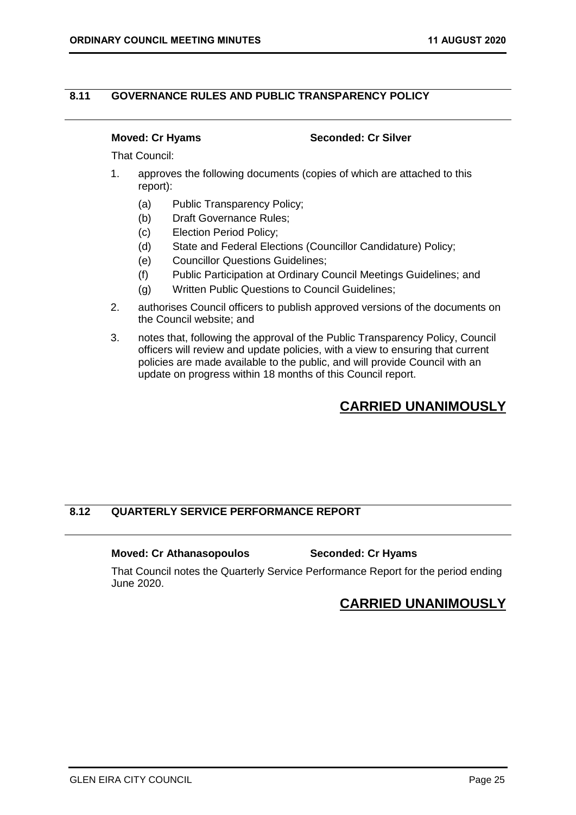### <span id="page-24-0"></span>**8.11 GOVERNANCE RULES AND PUBLIC TRANSPARENCY POLICY**

#### **Moved: Cr Hyams Seconded: Cr Silver**

That Council:

- 1. approves the following documents (copies of which are attached to this report):
	- (a) Public Transparency Policy;
	- (b) Draft Governance Rules;
	- (c) Election Period Policy;
	- (d) State and Federal Elections (Councillor Candidature) Policy;
	- (e) Councillor Questions Guidelines;
	- (f) Public Participation at Ordinary Council Meetings Guidelines; and
	- (g) Written Public Questions to Council Guidelines;
- 2. authorises Council officers to publish approved versions of the documents on the Council website; and
- 3. notes that, following the approval of the Public Transparency Policy, Council officers will review and update policies, with a view to ensuring that current policies are made available to the public, and will provide Council with an update on progress within 18 months of this Council report.

# **CARRIED UNANIMOUSLY**

### **8.12 QUARTERLY SERVICE PERFORMANCE REPORT**

#### **Moved: Cr Athanasopoulos Seconded: Cr Hyams**

That Council notes the Quarterly Service Performance Report for the period ending June 2020.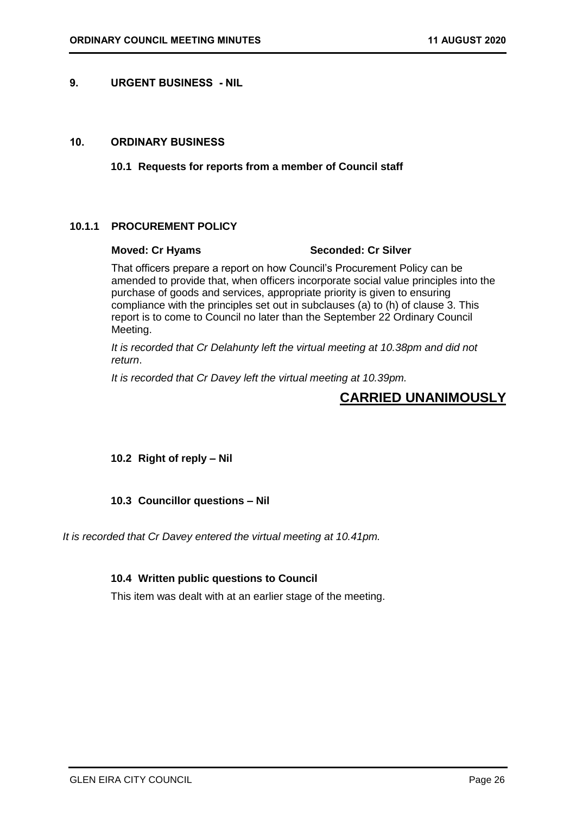#### <span id="page-25-3"></span><span id="page-25-0"></span>**9. URGENT BUSINESS - NIL**

#### <span id="page-25-2"></span><span id="page-25-1"></span>**10. ORDINARY BUSINESS**

**10.1 Requests for reports from a member of Council staff**

### **10.1.1 PROCUREMENT POLICY**

#### **Moved: Cr Hyams Seconded: Cr Silver**

That officers prepare a report on how Council's Procurement Policy can be amended to provide that, when officers incorporate social value principles into the purchase of goods and services, appropriate priority is given to ensuring compliance with the principles set out in subclauses (a) to (h) of clause 3. This report is to come to Council no later than the September 22 Ordinary Council Meeting.

*It is recorded that Cr Delahunty left the virtual meeting at 10.38pm and did not return*.

*It is recorded that Cr Davey left the virtual meeting at 10.39pm.*

# **CARRIED UNANIMOUSLY**

### <span id="page-25-4"></span>**10.2 Right of reply – Nil**

### <span id="page-25-5"></span>**10.3 Councillor questions – Nil**

<span id="page-25-6"></span>*It is recorded that Cr Davey entered the virtual meeting at 10.41pm.*

### **10.4 Written public questions to Council**

This item was dealt with at an earlier stage of the meeting.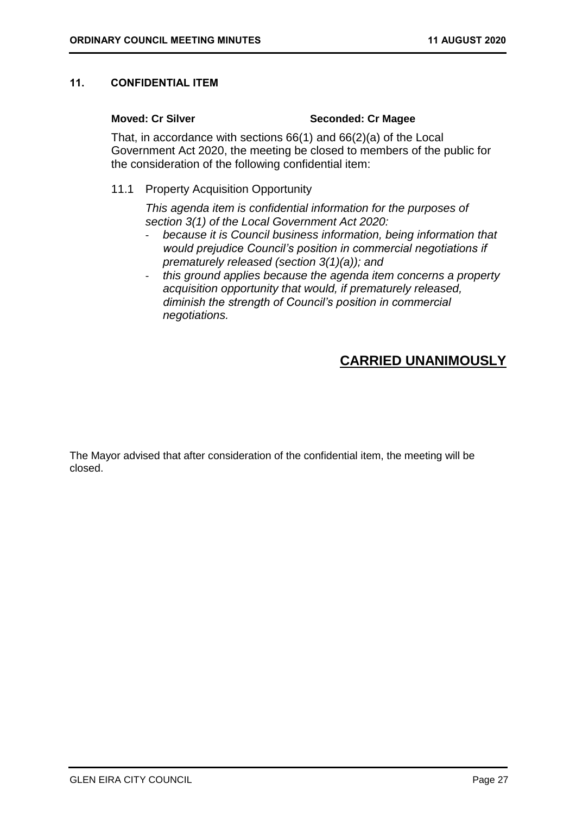#### <span id="page-26-0"></span>**11. CONFIDENTIAL ITEM**

#### **Moved: Cr Silver Seconded: Cr Magee**

That, in accordance with sections 66(1) and 66(2)(a) of the Local Government Act 2020, the meeting be closed to members of the public for the consideration of the following confidential item:

11.1 Property Acquisition Opportunity

*This agenda item is confidential information for the purposes of section 3(1) of the Local Government Act 2020:*

- *because it is Council business information, being information that would prejudice Council's position in commercial negotiations if prematurely released (section 3(1)(a)); and*
- *this ground applies because the agenda item concerns a property acquisition opportunity that would, if prematurely released, diminish the strength of Council's position in commercial negotiations.*

# **CARRIED UNANIMOUSLY**

The Mayor advised that after consideration of the confidential item, the meeting will be closed.